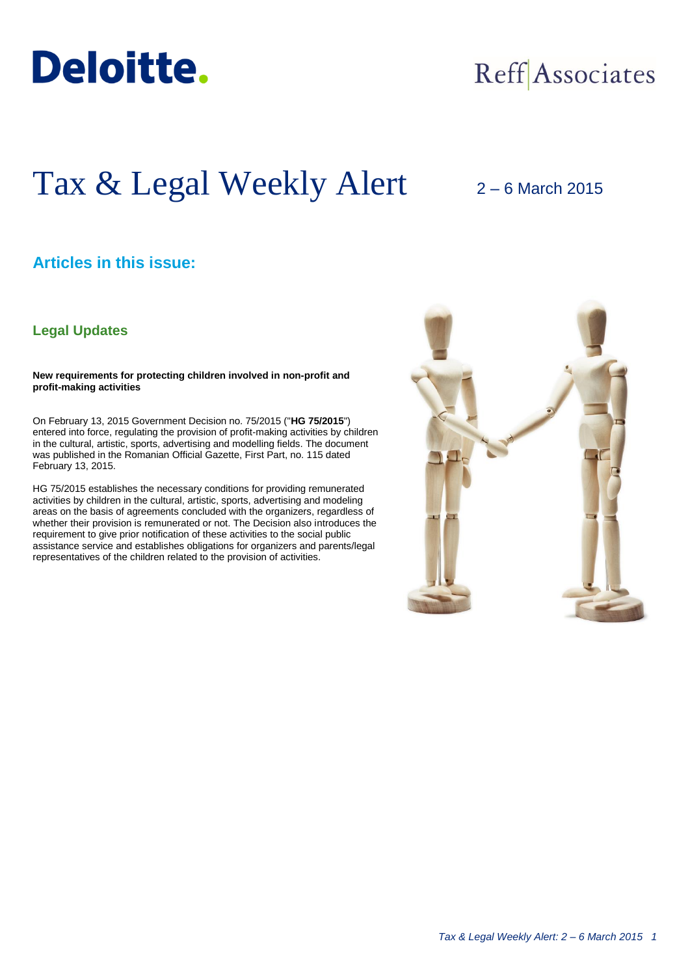

# Reff Associates

## Tax & Legal Weekly Alert 2 – 6 March 2015

## **Articles in this issue:**

### **Legal Updates**

**New requirements for protecting children involved in non-profit and profit-making activities**

On February 13, 2015 Government Decision no. 75/2015 ("**HG 75/2015**") entered into force, regulating the provision of profit-making activities by children in the cultural, artistic, sports, advertising and modelling fields. The document was published in the Romanian Official Gazette, First Part, no. 115 dated February 13, 2015.

HG 75/2015 establishes the necessary conditions for providing remunerated activities by children in the cultural, artistic, sports, advertising and modeling areas on the basis of agreements concluded with the organizers, regardless of whether their provision is remunerated or not. The Decision also introduces the requirement to give prior notification of these activities to the social public assistance service and establishes obligations for organizers and parents/legal representatives of the children related to the provision of activities.

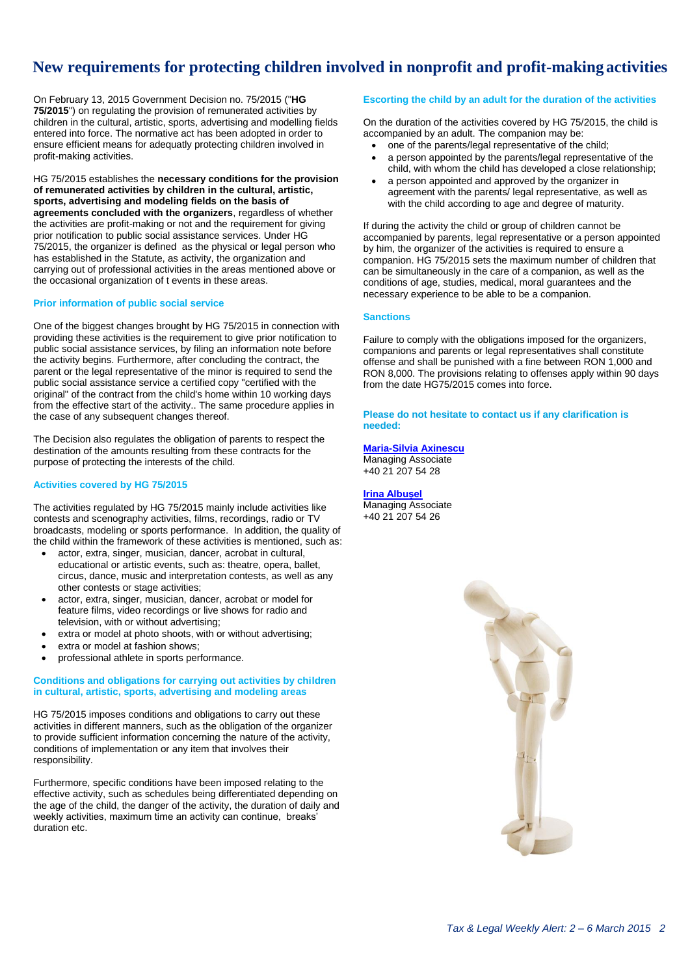## **New requirements for protecting children involved in nonprofit and profit-making activities**

On February 13, 2015 Government Decision no. 75/2015 ("**HG 75/2015**") on regulating the provision of remunerated activities by children in the cultural, artistic, sports, advertising and modelling fields entered into force. The normative act has been adopted in order to ensure efficient means for adequatly protecting children involved in profit-making activities.

HG 75/2015 establishes the **necessary conditions for the provision of remunerated activities by children in the cultural, artistic, sports, advertising and modeling fields on the basis of agreements concluded with the organizers**, regardless of whether the activities are profit-making or not and the requirement for giving prior notification to public social assistance services. Under HG 75/2015, the organizer is defined as the physical or legal person who has established in the Statute, as activity, the organization and carrying out of professional activities in the areas mentioned above or the occasional organization of t events in these areas.

#### **Prior information of public social service**

One of the biggest changes brought by HG 75/2015 in connection with providing these activities is the requirement to give prior notification to public social assistance services, by filing an information note before the activity begins. Furthermore, after concluding the contract, the parent or the legal representative of the minor is required to send the public social assistance service a certified copy "certified with the original" of the contract from the child's home within 10 working days from the effective start of the activity.. The same procedure applies in the case of any subsequent changes thereof.

The Decision also regulates the obligation of parents to respect the destination of the amounts resulting from these contracts for the purpose of protecting the interests of the child.

#### **Activities covered by HG 75/2015**

The activities regulated by HG 75/2015 mainly include activities like contests and scenography activities, films, recordings, radio or TV broadcasts, modeling or sports performance. In addition, the quality of the child within the framework of these activities is mentioned, such as:

- actor, extra, singer, musician, dancer, acrobat in cultural, educational or artistic events, such as: theatre, opera, ballet, circus, dance, music and interpretation contests, as well as any other contests or stage activities;
- actor, extra, singer, musician, dancer, acrobat or model for feature films, video recordings or live shows for radio and television, with or without advertising;
- extra or model at photo shoots, with or without advertising;
- extra or model at fashion shows;
- professional athlete in sports performance.

#### **Conditions and obligations for carrying out activities by children in cultural, artistic, sports, advertising and modeling areas**

HG 75/2015 imposes conditions and obligations to carry out these activities in different manners, such as the obligation of the organizer to provide sufficient information concerning the nature of the activity, conditions of implementation or any item that involves their responsibility.

Furthermore, specific conditions have been imposed relating to the effective activity, such as schedules being differentiated depending on the age of the child, the danger of the activity, the duration of daily and weekly activities, maximum time an activity can continue, breaks' duration etc.

#### **Escorting the child by an adult for the duration of the activities**

On the duration of the activities covered by HG 75/2015, the child is accompanied by an adult. The companion may be:

- one of the parents/legal representative of the child;
- a person appointed by the parents/legal representative of the child, with whom the child has developed a close relationship;
- a person appointed and approved by the organizer in agreement with the parents/ legal representative, as well as with the child according to age and degree of maturity.

If during the activity the child or group of children cannot be accompanied by parents, legal representative or a person appointed by him, the organizer of the activities is required to ensure a companion. HG 75/2015 sets the maximum number of children that can be simultaneously in the care of a companion, as well as the conditions of age, studies, medical, moral guarantees and the necessary experience to be able to be a companion.

#### **Sanctions**

Failure to comply with the obligations imposed for the organizers, companions and parents or legal representatives shall constitute offense and shall be punished with a fine between RON 1,000 and RON 8,000. The provisions relating to offenses apply within 90 days from the date HG75/2015 comes into force.

**Please do not hesitate to contact us if any clarification is needed:**

#### **[Maria-Silvia Axinescu](mailto:maxinescu@deloittece.com)**

Managing Associate +40 21 207 54 28

**[Irina Albușel](mailto:ialbusel@deloittece.com)** Managing Associate +40 21 207 54 26